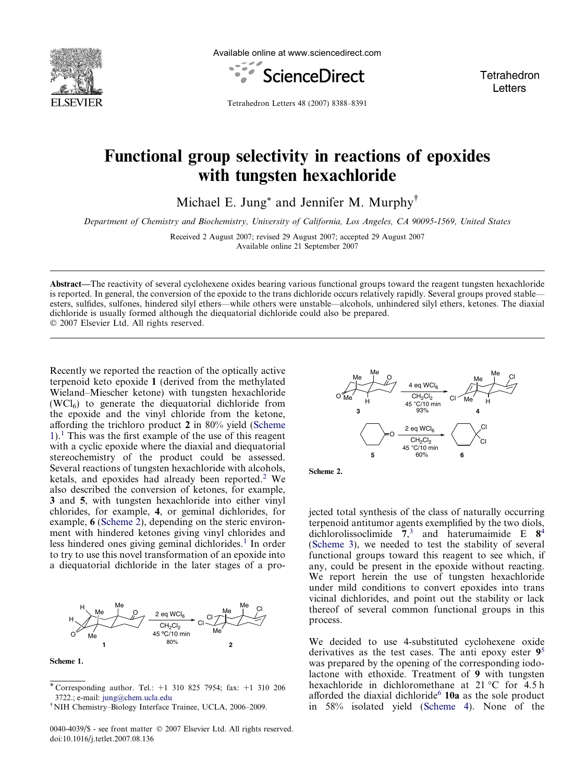

Available online at www.sciencedirect.com



Tetrahedron Letters

Tetrahedron Letters 48 (2007) 8388–8391

## Functional group selectivity in reactions of epoxides with tungsten hexachloride

Michael E. Jung<sup>\*</sup> and Jennifer M. Murphy<sup>†</sup>

Department of Chemistry and Biochemistry, University of California, Los Angeles, CA 90095-1569, United States

Received 2 August 2007; revised 29 August 2007; accepted 29 August 2007 Available online 21 September 2007

Abstract—The reactivity of several cyclohexene oxides bearing various functional groups toward the reagent tungsten hexachloride is reported. In general, the conversion of the epoxide to the trans dichloride occurs relatively rapidly. Several groups proved stable esters, sulfides, sulfones, hindered silyl ethers—while others were unstable—alcohols, unhindered silyl ethers, ketones. The diaxial dichloride is usually formed although the diequatorial dichloride could also be prepared. © 2007 Elsevier Ltd. All rights reserved.

Recently we reported the reaction of the optically active terpenoid keto epoxide 1 (derived from the methylated Wieland–Miescher ketone) with tungsten hexachloride  $(WCl<sub>6</sub>)$  to generate the diequatorial dichloride from the epoxide and the vinyl chloride from the ketone, affording the trichloro product 2 in 80% yield (Scheme  $1$ .<sup>1</sup> This was the first example of the use of this reagent with a cyclic epoxide where the diaxial and diequatorial stereochemistry of the product could be assessed. Several reactions of tungsten hexachloride with alcohols, ketals, and epoxides had already been reported.<sup>[2](#page-2-0)</sup> We also described the conversion of ketones, for example, 3 and 5, with tungsten hexachloride into either vinyl chlorides, for example, 4, or geminal dichlorides, for example, 6 (Scheme 2), depending on the steric environment with hindered ketones giving vinyl chlorides and less hindered ones giving geminal dichlorides.<sup>[1](#page-2-0)</sup> In order to try to use this novel transformation of an epoxide into a diequatorial dichloride in the later stages of a pro-



Scheme 1.

0040-4039/\$ - see front matter © 2007 Elsevier Ltd. All rights reserved. doi:10.1016/j.tetlet.2007.08.136



Scheme 2.

jected total synthesis of the class of naturally occurring terpenoid antitumor agents exemplified by the two diols, dichlorolissoclimide  $\overline{7}$ ,<sup>[3](#page-2-0)</sup> and haterumaimide E  $8^4$  $8^4$ ([Scheme 3\)](#page-1-0), we needed to test the stability of several functional groups toward this reagent to see which, if any, could be present in the epoxide without reacting. We report herein the use of tungsten hexachloride under mild conditions to convert epoxides into trans vicinal dichlorides, and point out the stability or lack thereof of several common functional groups in this process.

We decided to use 4-substituted cyclohexene oxide derivatives as the test cases. The anti epoxy ester  $9<sup>5</sup>$  $9<sup>5</sup>$  $9<sup>5</sup>$ was prepared by the opening of the corresponding iodolactone with ethoxide. Treatment of 9 with tungsten hexachloride in dichloromethane at  $21^{\circ}$ C for  $4.5$  h afforded the diaxial dichloride $6$  10a as the sole product in 58% isolated yield [\(Scheme 4\)](#page-1-0). None of the

<sup>\*</sup> Corresponding author. Tel.: +1 310 825 7954; fax: +1 310 206 3722.; e-mail: [jung@chem.ucla.edu](mailto:jung@chem.ucla.edu)

<sup>-</sup>NIH Chemistry–Biology Interface Trainee, UCLA, 2006–2009.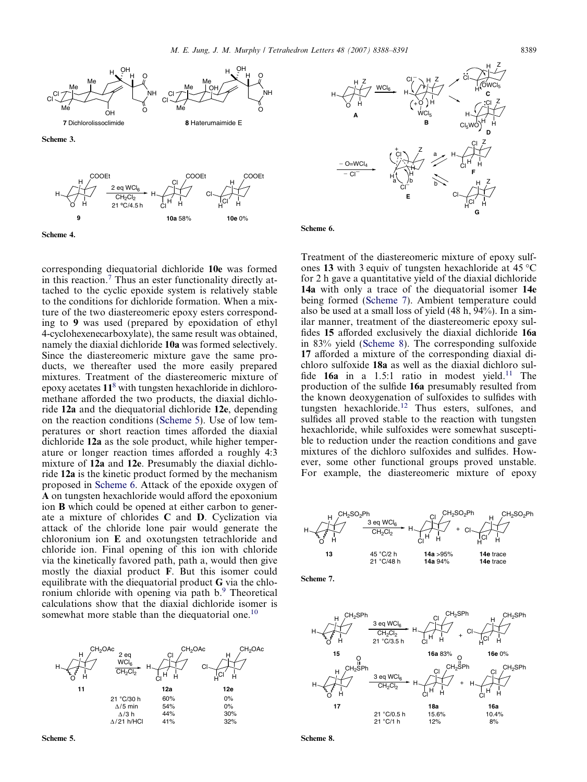<span id="page-1-0"></span>



corresponding diequatorial dichloride 10e was formed in this reaction.[7](#page-2-0) Thus an ester functionality directly attached to the cyclic epoxide system is relatively stable to the conditions for dichloride formation. When a mixture of the two diastereomeric epoxy esters corresponding to 9 was used (prepared by epoxidation of ethyl 4-cyclohexenecarboxylate), the same result was obtained, namely the diaxial dichloride 10a was formed selectively. Since the diastereomeric mixture gave the same products, we thereafter used the more easily prepared mixtures. Treatment of the diastereomeric mixture of epoxy acetates  $11<sup>8</sup>$  $11<sup>8</sup>$  $11<sup>8</sup>$  with tungsten hexachloride in dichloromethane afforded the two products, the diaxial dichloride 12a and the diequatorial dichloride 12e, depending on the reaction conditions (Scheme 5). Use of low temperatures or short reaction times afforded the diaxial dichloride 12a as the sole product, while higher temperature or longer reaction times afforded a roughly 4:3 mixture of 12a and 12e. Presumably the diaxial dichloride 12a is the kinetic product formed by the mechanism proposed in Scheme 6. Attack of the epoxide oxygen of A on tungsten hexachloride would afford the epoxonium ion B which could be opened at either carbon to generate a mixture of chlorides C and D. Cyclization via attack of the chloride lone pair would generate the chloronium ion E and oxotungsten tetrachloride and chloride ion. Final opening of this ion with chloride via the kinetically favored path, path a, would then give mostly the diaxial product F. But this isomer could equilibrate with the diequatorial product G via the chloronium chloride with opening via path b.[9](#page-2-0) Theoretical calculations show that the diaxial dichloride isomer is somewhat more stable than the diequatorial one.<sup>[10](#page-2-0)</sup>





Scheme 6.

Treatment of the diastereomeric mixture of epoxy sulfones 13 with 3 equiv of tungsten hexachloride at  $45^{\circ}$ C for 2 h gave a quantitative yield of the diaxial dichloride 14a with only a trace of the diequatorial isomer 14e being formed (Scheme 7). Ambient temperature could also be used at a small loss of yield (48 h, 94%). In a similar manner, treatment of the diastereomeric epoxy sulfides 15 afforded exclusively the diaxial dichloride 16a in 83% yield (Scheme 8). The corresponding sulfoxide 17 afforded a mixture of the corresponding diaxial dichloro sulfoxide 18a as well as the diaxial dichloro sulfide  $16a$  in a 1.5:1 ratio in modest yield.<sup>[11](#page-3-0)</sup> The production of the sulfide 16a presumably resulted from the known deoxygenation of sulfoxides to sulfides with tungsten hexachloride.<sup>[12](#page-3-0)</sup> Thus esters, sulfones, and sulfides all proved stable to the reaction with tungsten hexachloride, while sulfoxides were somewhat susceptible to reduction under the reaction conditions and gave mixtures of the dichloro sulfoxides and sulfides. However, some other functional groups proved unstable. For example, the diastereomeric mixture of epoxy







Scheme 8.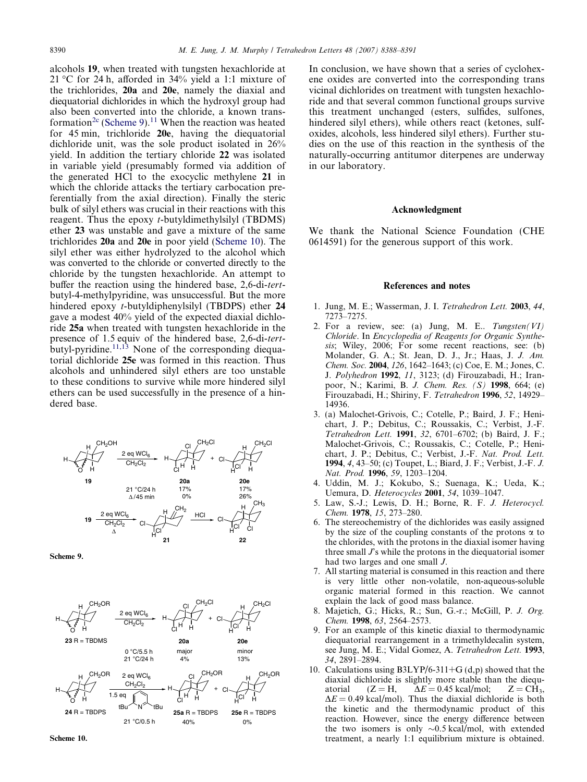<span id="page-2-0"></span>alcohols 19, when treated with tungsten hexachloride at 21 °C for 24 h, afforded in  $34\%$  yield a 1:1 mixture of the trichlorides, 20a and 20e, namely the diaxial and diequatorial dichlorides in which the hydroxyl group had also been converted into the chloride, a known trans-formation<sup>2c</sup> (Scheme 9).<sup>[11](#page-3-0)</sup> When the reaction was heated for 45 min, trichloride 20e, having the diequatorial dichloride unit, was the sole product isolated in 26% yield. In addition the tertiary chloride 22 was isolated in variable yield (presumably formed via addition of the generated HCl to the exocyclic methylene 21 in which the chloride attacks the tertiary carbocation preferentially from the axial direction). Finally the steric bulk of silyl ethers was crucial in their reactions with this reagent. Thus the epoxy t-butyldimethylsilyl (TBDMS) ether 23 was unstable and gave a mixture of the same trichlorides 20a and 20e in poor yield (Scheme 10). The silyl ether was either hydrolyzed to the alcohol which was converted to the chloride or converted directly to the chloride by the tungsten hexachloride. An attempt to buffer the reaction using the hindered base, 2,6-di-tertbutyl-4-methylpyridine, was unsuccessful. But the more hindered epoxy t-butyldiphenylsilyl (TBDPS) ether 24 gave a modest 40% yield of the expected diaxial dichloride 25a when treated with tungsten hexachloride in the presence of 1.5 equiv of the hindered base, 2,6-di-tertbutyl-pyridine. $11,13$  None of the corresponding diequatorial dichloride 25e was formed in this reaction. Thus alcohols and unhindered silyl ethers are too unstable to these conditions to survive while more hindered silyl ethers can be used successfully in the presence of a hindered base.







In conclusion, we have shown that a series of cyclohexene oxides are converted into the corresponding trans vicinal dichlorides on treatment with tungsten hexachloride and that several common functional groups survive this treatment unchanged (esters, sulfides, sulfones, hindered silyl ethers), while others react (ketones, sulfoxides, alcohols, less hindered silyl ethers). Further studies on the use of this reaction in the synthesis of the naturally-occurring antitumor diterpenes are underway in our laboratory.

## Acknowledgment

We thank the National Science Foundation (CHE 0614591) for the generous support of this work.

## References and notes

- 1. Jung, M. E.; Wasserman, J. I. Tetrahedron Lett. 2003, 44, 7273–7275.
- 2. For a review, see: (a) Jung, M. E..  $Tungsten(VI)$ Chloride. In Encyclopedia of Reagents for Organic Synthesis; Wiley, 2006; For some recent reactions, see: (b) Molander, G. A.; St. Jean, D. J., Jr.; Haas, J. J. Am. Chem. Soc. 2004, 126, 1642–1643; (c) Coe, E. M.; Jones, C. J. Polyhedron 1992, 11, 3123; (d) Firouzabadi, H.; Iranpoor, N.; Karimi, B. J. Chem. Res. (S) 1998, 664; (e) Firouzabadi, H.; Shiriny, F. Tetrahedron 1996, 52, 14929– 14936.
- 3. (a) Malochet-Grivois, C.; Cotelle, P.; Baird, J. F.; Henichart, J. P.; Debitus, C.; Roussakis, C.; Verbist, J.-F. Tetrahedron Lett. 1991, 32, 6701–6702; (b) Baird, J. F.; Malochet-Grivois, C.; Roussakis, C.; Cotelle, P.; Henichart, J. P.; Debitus, C.; Verbist, J.-F. Nat. Prod. Lett. 1994, 4, 43–50; (c) Toupet, L.; Biard, J. F.; Verbist, J.-F. J. Nat. Prod. 1996, 59, 1203–1204.
- 4. Uddin, M. J.; Kokubo, S.; Suenaga, K.; Ueda, K.; Uemura, D. Heterocycles 2001, 54, 1039–1047.
- 5. Law, S.-J.; Lewis, D. H.; Borne, R. F. J. Heterocycl. Chem. 1978, 15, 273–280.
- 6. The stereochemistry of the dichlorides was easily assigned by the size of the coupling constants of the protons  $\alpha$  to the chlorides, with the protons in the diaxial isomer having three small  $\Gamma$ 's while the protons in the diequatorial isomer had two larges and one small J.
- 7. All starting material is consumed in this reaction and there is very little other non-volatile, non-aqueous-soluble organic material formed in this reaction. We cannot explain the lack of good mass balance.
- 8. Majetich, G.; Hicks, R.; Sun, G.-r.; McGill, P. J. Org. Chem. 1998, 63, 2564–2573.
- 9. For an example of this kinetic diaxial to thermodynamic diequatorial rearrangement in a trimethyldecalin system, see Jung, M. E.; Vidal Gomez, A. Tetrahedron Lett. 1993, 34, 2891–2894.
- 10. Calculations using  $B3LYP/6-311+G(d,p)$  showed that the diaxial dichloride is slightly more stable than the diequatorial  $(Z = H, \Delta E = 0.45 \text{ kcal/mol}; \Sigma = CH_3,$  $\Delta E = 0.49$  kcal/mol). Thus the diaxial dichloride is both the kinetic and the thermodynamic product of this reaction. However, since the energy difference between the two isomers is only  $\sim 0.5$  kcal/mol, with extended treatment, a nearly 1:1 equilibrium mixture is obtained.